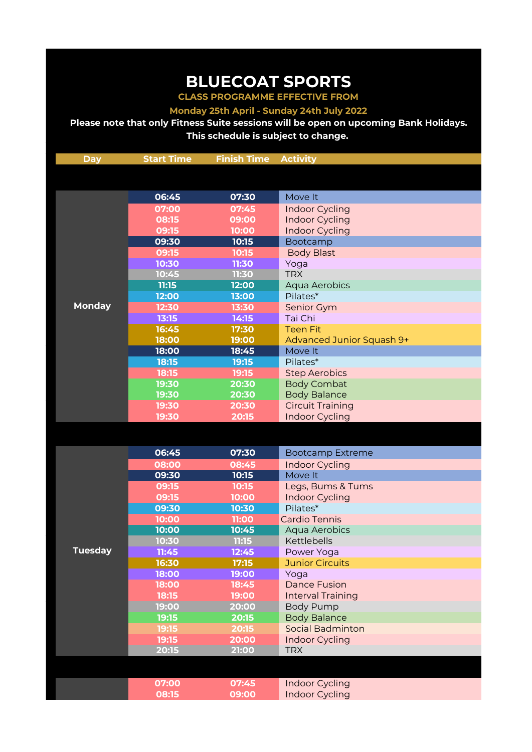## **BLUECOAT SPORTS**

**CLASS PROGRAMME EFFECTIVE FROM Monday 25th April - Sunday 24th July 2022**

**Please note that only Fitness Suite sessions will be open on upcoming Bank Holidays. This schedule is subject to change.** 

| <b>Day</b>     | <b>Start Time</b> | <b>Finish Time</b> | <b>Activity</b>           |
|----------------|-------------------|--------------------|---------------------------|
|                |                   |                    |                           |
|                |                   |                    |                           |
|                | 06:45             | 07:30              | Move It                   |
|                | 07:00             | 07:45              | Indoor Cycling            |
|                | 08:15             | 09:00              | <b>Indoor Cycling</b>     |
|                | 09:15             | 10:00              | <b>Indoor Cycling</b>     |
|                | 09:30             | 10:15              | Bootcamp                  |
|                | 09:15             | 10:15              | <b>Body Blast</b>         |
|                | 10:30             | 11:30              | Yoga                      |
|                | 10:45             | 11:30              | <b>TRX</b>                |
|                | 11:15             | 12:00              | Aqua Aerobics             |
|                | 12:00             | 13:00              | Pilates*                  |
| <b>Monday</b>  | 12:30             | 13:30              | Senior Gym                |
|                | 13:15             | 14:15              | Tai Chi                   |
|                | 16:45             | 17:30              | <b>Teen Fit</b>           |
|                | 18:00             | 19:00              | Advanced Junior Squash 9+ |
|                | 18:00             | 18:45              | Move It                   |
|                | 18:15             | 19:15              | Pilates*                  |
|                | 18:15             | 19:15              | <b>Step Aerobics</b>      |
|                | 19:30             | 20:30              | <b>Body Combat</b>        |
|                | 19:30             | 20:30              | <b>Body Balance</b>       |
|                | 19:30             | 20:30              | <b>Circuit Training</b>   |
|                | 19:30             | 20:15              | Indoor Cycling            |
|                |                   |                    |                           |
|                |                   |                    |                           |
|                | 06:45             | 07:30              | <b>Bootcamp Extreme</b>   |
|                | 08:00             | 08:45              | Indoor Cycling            |
|                | 09:30             | 10:15              | Move It                   |
|                | 09:15             | 10:15              | Legs, Bums & Tums         |
|                | 09:15             | 10:00              | Indoor Cycling            |
|                | 09:30             | 10:30              | Pilates*                  |
|                | 10:00             | 11:00              | Cardio Tennis             |
|                | 10:00             | 10:45              | Aqua Aerobics             |
|                | 10:30             | 11:15              | Kettlebells               |
| <b>Tuesday</b> | 11:45             | 12:45              | Power Yoga                |
|                | 16:30             | 17:15              | <b>Junior Circuits</b>    |
|                | 18:00             | 19:00              | Yoga                      |
|                | 18:00             | 18:45              | <b>Dance Fusion</b>       |
|                | 18:15             | 19:00              | <b>Interval Training</b>  |
|                | 19:00             | 20:00              | <b>Body Pump</b>          |
|                | 19:15             | 20:15              | <b>Body Balance</b>       |
|                | 19:15             | 20:15              | <b>Social Badminton</b>   |
|                | 19:15             | 20:00              | Indoor Cycling            |
|                | 20:15             | 21:00              | <b>TRX</b>                |
|                |                   |                    |                           |
|                |                   |                    |                           |
|                | 07:00             | 07:45              | Indoor Cycling            |
|                | 08:15             | 09:00              | Indoor Cycling            |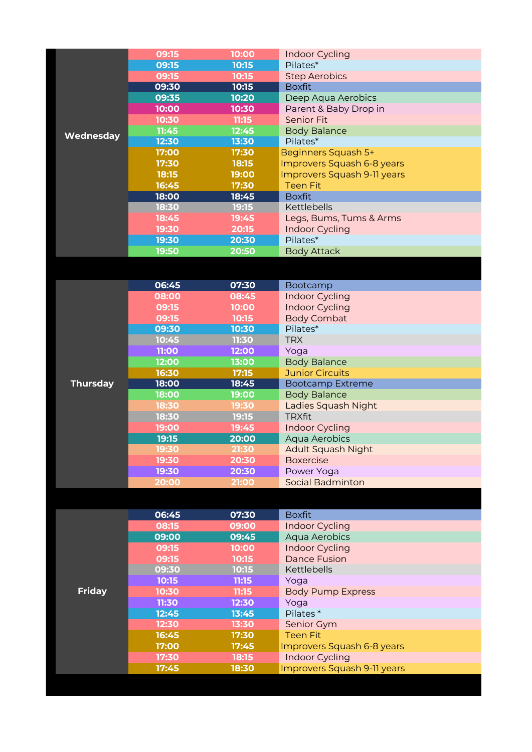|           | 09:15 | 10:00 | Indoor Cycling              |
|-----------|-------|-------|-----------------------------|
|           | 09:15 | 10:15 | Pilates*                    |
|           | 09:15 | 10:15 | <b>Step Aerobics</b>        |
|           | 09:30 | 10:15 | <b>Boxfit</b>               |
|           | 09:35 | 10:20 | Deep Aqua Aerobics          |
|           | 10:00 | 10:30 | Parent & Baby Drop in       |
|           | 10:30 | 11:15 | <b>Senior Fit</b>           |
| Wednesday | 11:45 | 12:45 | <b>Body Balance</b>         |
|           | 12:30 | 13:30 | Pilates*                    |
|           | 17:00 | 17:30 | Beginners Squash 5+         |
|           | 17:30 | 18:15 | Improvers Squash 6-8 years  |
|           | 18:15 | 19:00 | Improvers Squash 9-11 years |
|           | 16:45 | 17:30 | <b>Teen Fit</b>             |
|           | 18:00 | 18:45 | <b>Boxfit</b>               |
|           | 18:30 | 19:15 | Kettlebells                 |
|           | 18:45 | 19:45 | Legs, Bums, Tums & Arms     |
|           | 19:30 | 20:15 | <b>Indoor Cycling</b>       |
|           | 19:30 | 20:30 | Pilates*                    |
|           | 19:50 | 20:50 | <b>Body Attack</b>          |
|           |       |       |                             |
|           |       |       |                             |
|           | 06:45 | 07:30 | Bootcamp                    |
|           | 08:00 | 08:45 | Indoor Cycling              |
|           | 09:15 | 10:00 | Indoor Cycling              |
|           | 09:15 | 10:15 | <b>Body Combat</b>          |
|           | 09:30 | 10:30 | Pilates*                    |
|           |       |       |                             |

|                 | <b>09:30</b> | 10:30 | Pilates*                |
|-----------------|--------------|-------|-------------------------|
|                 | 10:45        | 11:30 | <b>TRX</b>              |
|                 | 11:00        | 12:00 | Yoga                    |
|                 | 12:00        | 13:00 | <b>Body Balance</b>     |
|                 | 16:30        | 17:15 | <b>Junior Circuits</b>  |
| <b>Thursday</b> | 18:00        | 18:45 | <b>Bootcamp Extreme</b> |
|                 | 18:00        | 19:00 | <b>Body Balance</b>     |
|                 | 18:30        | 19:30 | Ladies Squash Night     |
|                 | 18:30        | 19:15 | <b>TRXfit</b>           |
|                 | 19:00        | 19:45 | Indoor Cycling          |
|                 | 19:15        | 20:00 | Aqua Aerobics           |
|                 | 19:30        | 21:30 | Adult Squash Night      |
|                 | 19:30        | 20:30 | <b>Boxercise</b>        |
|                 | 19:30        | 20:30 | Power Yoga              |
|                 | 20:00        | 21:00 | <b>Social Badminton</b> |

|               | 06:45 | 07:30 | <b>Boxfit</b>               |
|---------------|-------|-------|-----------------------------|
|               | 08:15 | 09:00 | <b>Indoor Cycling</b>       |
|               | 09:00 | 09:45 | Aqua Aerobics               |
|               | 09:15 | 10:00 | <b>Indoor Cycling</b>       |
|               | 09:15 | 10:15 | <b>Dance Fusion</b>         |
|               | 09:30 | 10:15 | Kettlebells                 |
|               | 10:15 | 11:15 | Yoga                        |
| <b>Friday</b> | 10:30 | 11:15 | <b>Body Pump Express</b>    |
|               | 11:30 | 12:30 | Yoga                        |
|               | 12:45 | 13:45 | Pilates <sup>*</sup>        |
|               | 12:30 | 13:30 | Senior Gym                  |
|               | 16:45 | 17:30 | <b>Teen Fit</b>             |
|               | 17:00 | 17:45 | Improvers Squash 6-8 years  |
|               | 17:30 | 18:15 | <b>Indoor Cycling</b>       |
|               | 17:45 | 18:30 | Improvers Squash 9-11 years |
|               |       |       |                             |